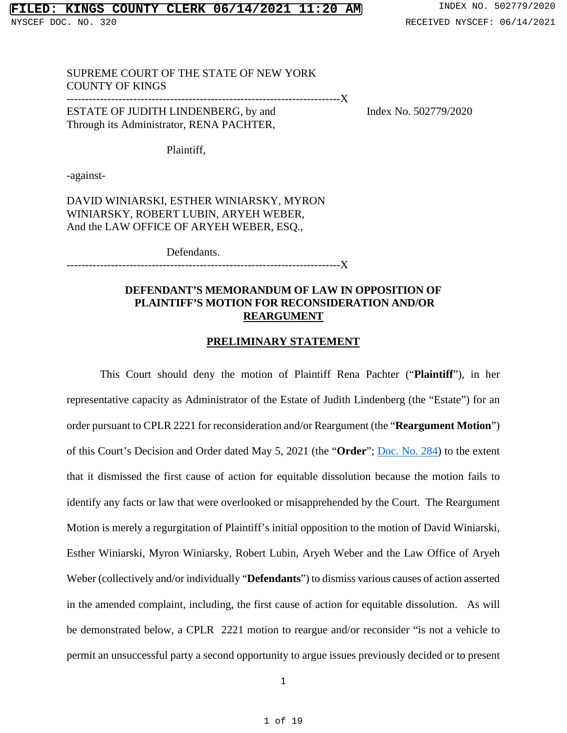# SUPREME COURT OF THE STATE OF NEW YORK COUNTY OF KINGS

--------------------------------------------------------------------------X

ESTATE OF JUDITH LINDENBERG, by and Index No. 502779/2020 Through its Administrator, RENA PACHTER,

Plaintiff,

-against-

DAVID WINIARSKI, ESTHER WINIARSKY, MYRON WINIARSKY, ROBERT LUBIN, ARYEH WEBER, And the LAW OFFICE OF ARYEH WEBER, ESQ.,

Defendants.

--------------------------------------------------------------------------X

### **DEFENDANT'S MEMORANDUM OF LAW IN OPPOSITION OF PLAINTIFF'S MOTION FOR RECONSIDERATION AND/OR REARGUMENT**

## **PRELIMINARY STATEMENT**

This Court should deny the motion of Plaintiff Rena Pachter ("**Plaintiff**"), in her representative capacity as Administrator of the Estate of Judith Lindenberg (the "Estate") for an order pursuant to CPLR 2221 for reconsideration and/or Reargument (the "**Reargument Motion**") of this Court's Decision and Order dated May 5, 2021 (the "**Order**"; [Doc. No. 284\)](https://iapps.courts.state.ny.us/nyscef/ViewDocument?docIndex=3pxsoEgaOA16qbvxtsPHwA==) to the extent that it dismissed the first cause of action for equitable dissolution because the motion fails to identify any facts or law that were overlooked or misapprehended by the Court. The Reargument Motion is merely a regurgitation of Plaintiff's initial opposition to the motion of David Winiarski, Esther Winiarski, Myron Winiarsky, Robert Lubin, Aryeh Weber and the Law Office of Aryeh Weber (collectively and/or individually "**Defendants**") to dismiss various causes of action asserted in the amended complaint, including, the first cause of action for equitable dissolution. As will be demonstrated below, a CPLR 2221 motion to reargue and/or reconsider "is not a vehicle to permit an unsuccessful party a second opportunity to argue issues previously decided or to present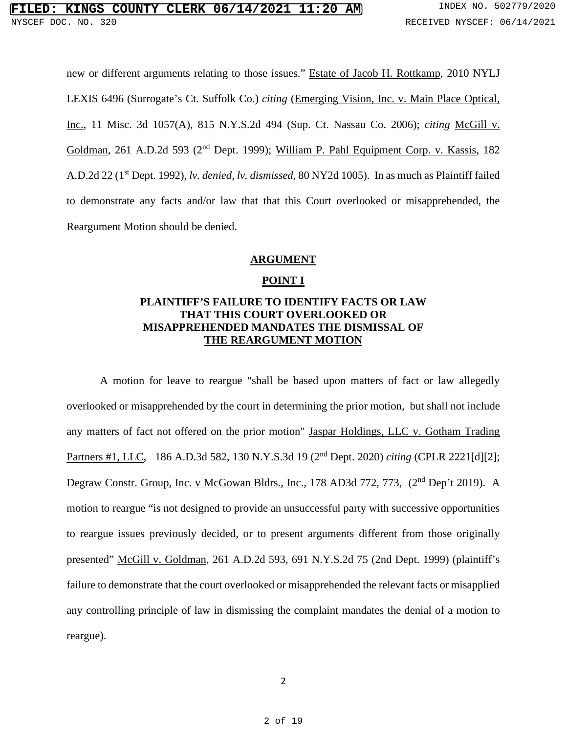new or different arguments relating to those issues." Estate of Jacob H. Rottkamp, 2010 NYLJ LEXIS 6496 (Surrogate's Ct. Suffolk Co.) *citing* (Emerging Vision, Inc. v. Main Place Optical, Inc., 11 Misc. 3d 1057(A), 815 N.Y.S.2d 494 (Sup. Ct. Nassau Co. 2006); *citing* McGill v. Goldman, 261 A.D.2d 593 (2<sup>nd</sup> Dept. 1999); William P. Pahl Equipment Corp. v. Kassis, 182 A.D.2d 22 (1st Dept. 1992), *lv. denied, lv. dismissed*, 80 NY2d 1005). In as much as Plaintiff failed to demonstrate any facts and/or law that that this Court overlooked or misapprehended, the Reargument Motion should be denied.

### **ARGUMENT**

### **POINT I**

# **PLAINTIFF'S FAILURE TO IDENTIFY FACTS OR LAW THAT THIS COURT OVERLOOKED OR MISAPPREHENDED MANDATES THE DISMISSAL OF THE REARGUMENT MOTION**

A motion for leave to reargue "shall be based upon matters of fact or law allegedly overlooked or misapprehended by the court in determining the prior motion, but shall not include any matters of fact not offered on the prior motion" Jaspar Holdings, LLC v. Gotham Trading Partners #1, LLC, 186 A.D.3d 582, 130 N.Y.S.3d 19 (2nd Dept. 2020) *citing* (CPLR 2221[d][2]; Degraw Constr. Group, Inc. v McGowan Bldrs., Inc., 178 AD3d 772, 773, (2<sup>nd</sup> Dep't 2019). A motion to reargue "is not designed to provide an unsuccessful party with successive opportunities to reargue issues previously decided, or to present arguments different from those originally presented" McGill v. Goldman, 261 A.D.2d 593, 691 N.Y.S.2d 75 (2nd Dept. 1999) (plaintiff's failure to demonstrate that the court overlooked or misapprehended the relevant facts or misapplied any controlling principle of law in dismissing the complaint mandates the denial of a motion to reargue).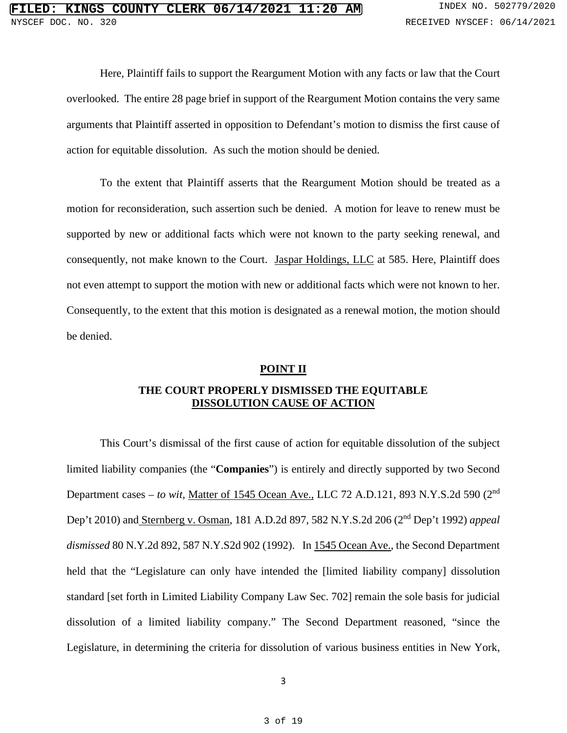Here, Plaintiff fails to support the Reargument Motion with any facts or law that the Court overlooked. The entire 28 page brief in support of the Reargument Motion contains the very same arguments that Plaintiff asserted in opposition to Defendant's motion to dismiss the first cause of action for equitable dissolution. As such the motion should be denied.

To the extent that Plaintiff asserts that the Reargument Motion should be treated as a motion for reconsideration, such assertion such be denied. A motion for leave to renew must be supported by new or additional facts which were not known to the party seeking renewal, and consequently, not make known to the Court. Jaspar Holdings, LLC at 585. Here, Plaintiff does not even attempt to support the motion with new or additional facts which were not known to her. Consequently, to the extent that this motion is designated as a renewal motion, the motion should be denied.

## **POINT II**

# **THE COURT PROPERLY DISMISSED THE EQUITABLE DISSOLUTION CAUSE OF ACTION**

This Court's dismissal of the first cause of action for equitable dissolution of the subject limited liability companies (the "**Companies**") is entirely and directly supported by two Second Department cases – *to wit*, Matter of 1545 Ocean Ave., LLC 72 A.D.121, 893 N.Y.S.2d 590 (2nd Dep't 2010) and Sternberg v. Osman, 181 A.D.2d 897, 582 N.Y.S.2d 206 (2nd Dep't 1992) *appeal dismissed* 80 N.Y.2d 892, 587 N.Y.S2d 902 (1992). In 1545 Ocean Ave., the Second Department held that the "Legislature can only have intended the [limited liability company] dissolution standard [set forth in Limited Liability Company Law Sec. 702] remain the sole basis for judicial dissolution of a limited liability company." The Second Department reasoned, "since the Legislature, in determining the criteria for dissolution of various business entities in New York,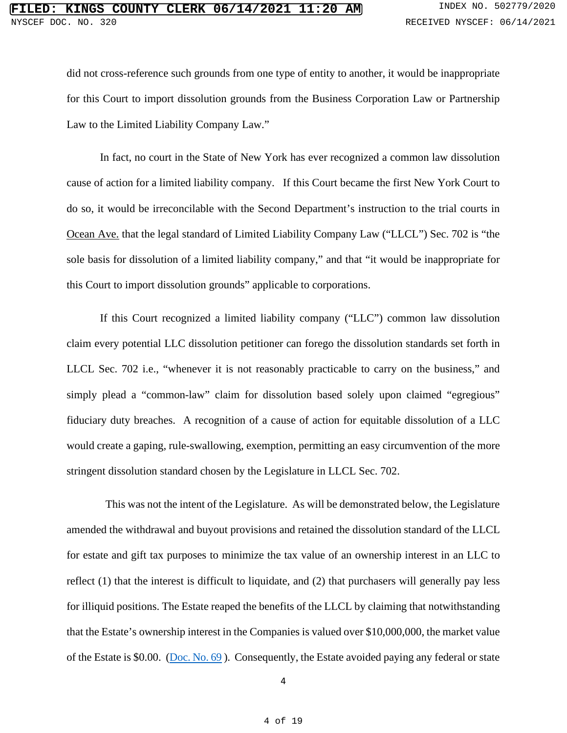did not cross-reference such grounds from one type of entity to another, it would be inappropriate for this Court to import dissolution grounds from the Business Corporation Law or Partnership Law to the Limited Liability Company Law."

In fact, no court in the State of New York has ever recognized a common law dissolution cause of action for a limited liability company. If this Court became the first New York Court to do so, it would be irreconcilable with the Second Department's instruction to the trial courts in Ocean Ave. that the legal standard of Limited Liability Company Law ("LLCL") Sec. 702 is "the sole basis for dissolution of a limited liability company," and that "it would be inappropriate for this Court to import dissolution grounds" applicable to corporations.

If this Court recognized a limited liability company ("LLC") common law dissolution claim every potential LLC dissolution petitioner can forego the dissolution standards set forth in LLCL Sec. 702 i.e., "whenever it is not reasonably practicable to carry on the business," and simply plead a "common-law" claim for dissolution based solely upon claimed "egregious" fiduciary duty breaches. A recognition of a cause of action for equitable dissolution of a LLC would create a gaping, rule-swallowing, exemption, permitting an easy circumvention of the more stringent dissolution standard chosen by the Legislature in LLCL Sec. 702.

This was not the intent of the Legislature. As will be demonstrated below, the Legislature amended the withdrawal and buyout provisions and retained the dissolution standard of the LLCL for estate and gift tax purposes to minimize the tax value of an ownership interest in an LLC to reflect (1) that the interest is difficult to liquidate, and (2) that purchasers will generally pay less for illiquid positions. The Estate reaped the benefits of the LLCL by claiming that notwithstanding that the Estate's ownership interest in the Companies is valued over \$10,000,000, the market value of the Estate is \$0.00. [\(Doc. No. 69](https://iapps.courts.state.ny.us/nyscef/ViewDocument?docIndex=D2Hr7g2wCdnx4zPhoOe9Lg==) ). Consequently, the Estate avoided paying any federal or state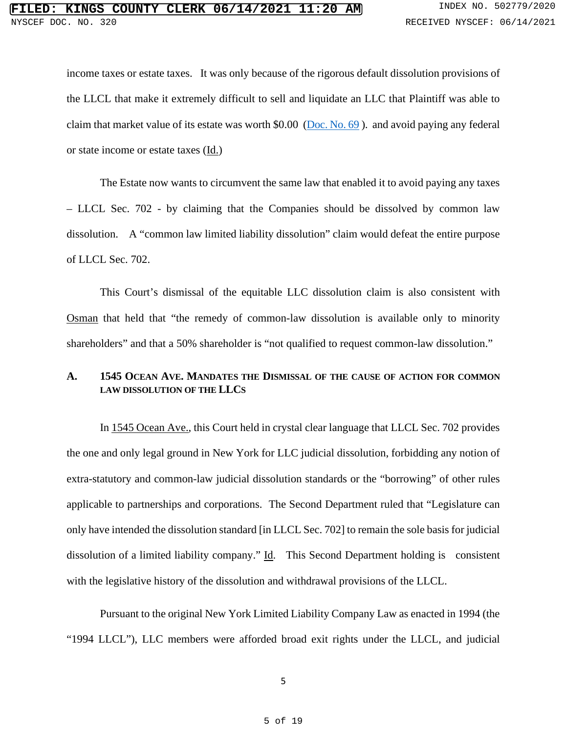income taxes or estate taxes. It was only because of the rigorous default dissolution provisions of the LLCL that make it extremely difficult to sell and liquidate an LLC that Plaintiff was able to claim that market value of its estate was worth \$0.00 [\(Doc. No. 69](https://iapps.courts.state.ny.us/nyscef/ViewDocument?docIndex=D2Hr7g2wCdnx4zPhoOe9Lg==) ). and avoid paying any federal or state income or estate taxes (Id.)

The Estate now wants to circumvent the same law that enabled it to avoid paying any taxes – LLCL Sec. 702 - by claiming that the Companies should be dissolved by common law dissolution. A "common law limited liability dissolution" claim would defeat the entire purpose of LLCL Sec. 702.

This Court's dismissal of the equitable LLC dissolution claim is also consistent with Osman that held that "the remedy of common-law dissolution is available only to minority shareholders" and that a 50% shareholder is "not qualified to request common-law dissolution."

## **A. 1545 OCEAN AVE. MANDATES THE DISMISSAL OF THE CAUSE OF ACTION FOR COMMON LAW DISSOLUTION OF THE LLCS**

In 1545 Ocean Ave., this Court held in crystal clear language that LLCL Sec. 702 provides the one and only legal ground in New York for LLC judicial dissolution, forbidding any notion of extra-statutory and common-law judicial dissolution standards or the "borrowing" of other rules applicable to partnerships and corporations. The Second Department ruled that "Legislature can only have intended the dissolution standard [in LLCL Sec. 702] to remain the sole basis for judicial dissolution of a limited liability company." Id. This Second Department holding is consistent with the legislative history of the dissolution and withdrawal provisions of the LLCL.

Pursuant to the original New York Limited Liability Company Law as enacted in 1994 (the "1994 LLCL"), LLC members were afforded broad exit rights under the LLCL, and judicial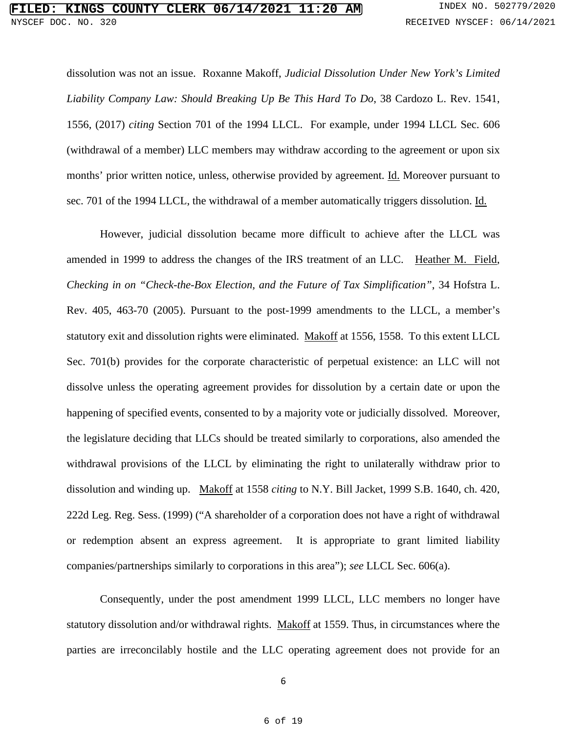dissolution was not an issue. Roxanne Makoff, *Judicial Dissolution Under New York's Limited Liability Company Law: Should Breaking Up Be This Hard To Do*, 38 Cardozo L. Rev. 1541, 1556, (2017) *citing* Section 701 of the 1994 LLCL. For example, under 1994 LLCL Sec. 606 (withdrawal of a member) LLC members may withdraw according to the agreement or upon six months' prior written notice, unless, otherwise provided by agreement. Id. Moreover pursuant to sec. 701 of the 1994 LLCL, the withdrawal of a member automatically triggers dissolution. Id.

However, judicial dissolution became more difficult to achieve after the LLCL was amended in 1999 to address the changes of the IRS treatment of an LLC. Heather M. Field, *Checking in on "Check-the-Box Election, and the Future of Tax Simplification"*, 34 Hofstra L. Rev. 405, 463-70 (2005). Pursuant to the post-1999 amendments to the LLCL, a member's statutory exit and dissolution rights were eliminated. Makoff at 1556, 1558. To this extent LLCL Sec. 701(b) provides for the corporate characteristic of perpetual existence: an LLC will not dissolve unless the operating agreement provides for dissolution by a certain date or upon the happening of specified events, consented to by a majority vote or judicially dissolved. Moreover, the legislature deciding that LLCs should be treated similarly to corporations, also amended the withdrawal provisions of the LLCL by eliminating the right to unilaterally withdraw prior to dissolution and winding up. Makoff at 1558 *citing* to N.Y. Bill Jacket, 1999 S.B. 1640, ch. 420, 222d Leg. Reg. Sess. (1999) ("A shareholder of a corporation does not have a right of withdrawal or redemption absent an express agreement. It is appropriate to grant limited liability companies/partnerships similarly to corporations in this area"); *see* LLCL Sec. 606(a).

Consequently, under the post amendment 1999 LLCL, LLC members no longer have statutory dissolution and/or withdrawal rights. Makoff at 1559. Thus, in circumstances where the parties are irreconcilably hostile and the LLC operating agreement does not provide for an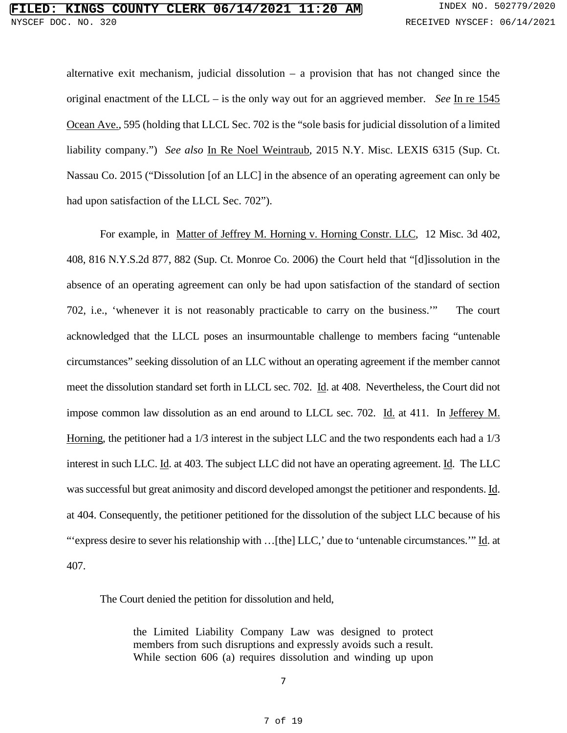alternative exit mechanism, judicial dissolution – a provision that has not changed since the original enactment of the LLCL – is the only way out for an aggrieved member. *See* In re 1545 Ocean Ave., 595 (holding that LLCL Sec. 702 is the "sole basis for judicial dissolution of a limited liability company.") *See also* In Re Noel Weintraub, 2015 N.Y. Misc. LEXIS 6315 (Sup. Ct. Nassau Co. 2015 ("Dissolution [of an LLC] in the absence of an operating agreement can only be had upon satisfaction of the LLCL Sec. 702").

For example, in [Matter of Jeffrey M. Horning v. Horning Constr. LLC, 12 Misc. 3d 402,](https://advance.lexis.com/api/document/collection/cases/id/4JJH-GX50-0039-44XY-00000-00?cite=816%20N.Y.S.2d%20877&context=1000516)  408, 816 N.Y.S.2d 877, 882 [\(Sup. Ct. Monroe Co. 2006\)](https://advance.lexis.com/api/document/collection/cases/id/4JJH-GX50-0039-44XY-00000-00?cite=816%20N.Y.S.2d%20877&context=1000516) the Court held that "[d]issolution in the absence of an operating agreement can only be had upon satisfaction of the standard of section 702, i.e., 'whenever it is not reasonably practicable to carry on the business.'" The court acknowledged that the LLCL poses an insurmountable challenge to members facing "untenable circumstances" seeking dissolution of an LLC without an operating agreement if the member cannot meet the dissolution standard set forth in LLCL sec. 702. Id. at 408. Nevertheless, the Court did not impose common law dissolution as an end around to LLCL sec. 702. Id. at 411. In Jefferey M. Horning, the petitioner had a 1/3 interest in the subject LLC and the two respondents each had a 1/3 interest in such LLC. Id. at 403. The subject LLC did not have an operating agreement. Id. The LLC was successful but great animosity and discord developed amongst the petitioner and respondents. Id. at 404. Consequently, the petitioner petitioned for the dissolution of the subject LLC because of his "'express desire to sever his relationship with …[the] LLC,' due to 'untenable circumstances.'" Id. at 407.

The Court denied the petition for dissolution and held,

the Limited Liability Company Law was designed to protect members from such disruptions and expressly avoids such a result. While section 606 (a) requires dissolution and winding up upon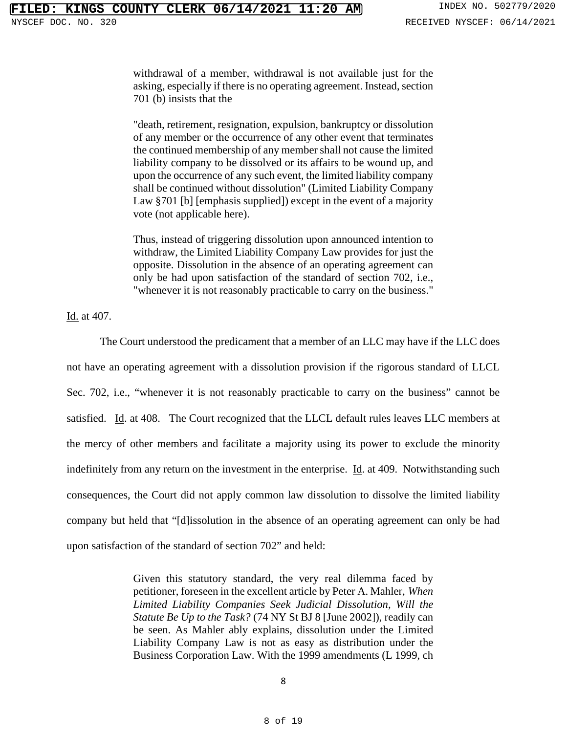withdrawal of a member, withdrawal is not available just for the asking, especially if there is no operating agreement. Instead, section 701 (b) insists that the

"death, retirement, resignation, expulsion, bankruptcy or dissolution of any member or the occurrence of any other event that terminates the continued membership of any member shall not cause the limited liability company to be dissolved or its affairs to be wound up, and upon the occurrence of any such event, the limited liability company shall be continued without dissolution" (Limited Liability Company Law §701 [b] [emphasis supplied]) except in the event of a majority vote (not applicable here).

Thus, instead of triggering dissolution upon announced intention to withdraw, the Limited Liability Company Law provides for just the opposite. Dissolution in the absence of an operating agreement can only be had upon satisfaction of the standard of section 702, i.e., "whenever it is not reasonably practicable to carry on the business."

Id. at 407.

The Court understood the predicament that a member of an LLC may have if the LLC does not have an operating agreement with a dissolution provision if the rigorous standard of LLCL Sec. 702, i.e., "whenever it is not reasonably practicable to carry on the business" cannot be satisfied. Id. at 408. The Court recognized that the LLCL default rules leaves LLC members at the mercy of other members and facilitate a majority using its power to exclude the minority indefinitely from any return on the investment in the enterprise. Id. at 409. Notwithstanding such consequences, the Court did not apply common law dissolution to dissolve the limited liability company but held that "[d]issolution in the absence of an operating agreement can only be had upon satisfaction of the standard of section 702" and held:

> Given this statutory standard, the very real dilemma faced by petitioner, foreseen in the excellent article by Peter A. Mahler, *When Limited Liability Companies Seek Judicial Dissolution, Will the Statute Be Up to the Task?* (74 NY St BJ 8 [June 2002]), readily can be seen. As Mahler ably explains, dissolution under the Limited Liability Company Law is not as easy as distribution under the Business Corporation Law. With the 1999 amendments (L 1999, ch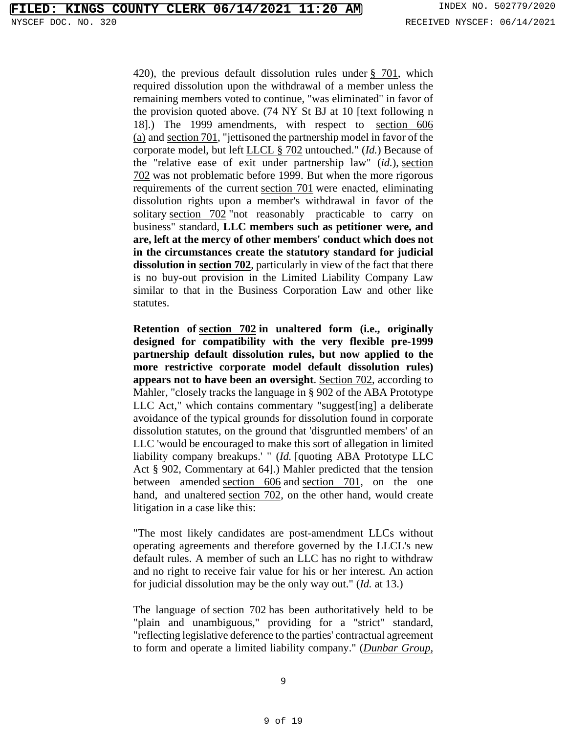420), the previous default dissolution rules under  $\S$  701, which required dissolution upon the withdrawal of a member unless the remaining members voted to continue, "was eliminated" in favor of the provision quoted above. (74 NY St BJ at 10 [text following n 18].) The 1999 amendments, with respect to [section 606](https://advance.lexis.com/search/?pdmfid=1000516&crid=4541c4f5-5b15-4fcc-a293-a45163f84167&pdsearchterms=816+N.Y.S.2d+877&pdstartin=hlct%3A1%3A1&pdtypeofsearch=searchboxclick&pdsearchtype=SearchBox&pdqttype=and&pdpsf=&pdquerytemplateid=urn%3Aquerytemplate%3Aaa733d428fa8b529d02c0f8b2d0709aa%7E%5ENew%2520York&ecomp=5b74k&earg=pdpsf&prid=5cd99625-eecd-443d-8d1a-804ce28344a2)  [\(a\)](https://advance.lexis.com/search/?pdmfid=1000516&crid=4541c4f5-5b15-4fcc-a293-a45163f84167&pdsearchterms=816+N.Y.S.2d+877&pdstartin=hlct%3A1%3A1&pdtypeofsearch=searchboxclick&pdsearchtype=SearchBox&pdqttype=and&pdpsf=&pdquerytemplateid=urn%3Aquerytemplate%3Aaa733d428fa8b529d02c0f8b2d0709aa%7E%5ENew%2520York&ecomp=5b74k&earg=pdpsf&prid=5cd99625-eecd-443d-8d1a-804ce28344a2) and [section 701,](https://advance.lexis.com/search/?pdmfid=1000516&crid=4541c4f5-5b15-4fcc-a293-a45163f84167&pdsearchterms=816+N.Y.S.2d+877&pdstartin=hlct%3A1%3A1&pdtypeofsearch=searchboxclick&pdsearchtype=SearchBox&pdqttype=and&pdpsf=&pdquerytemplateid=urn%3Aquerytemplate%3Aaa733d428fa8b529d02c0f8b2d0709aa%7E%5ENew%2520York&ecomp=5b74k&earg=pdpsf&prid=5cd99625-eecd-443d-8d1a-804ce28344a2) "jettisoned the partnership model in favor of the corporate model, but left [LLCL § 702](https://advance.lexis.com/search/?pdmfid=1000516&crid=4541c4f5-5b15-4fcc-a293-a45163f84167&pdsearchterms=816+N.Y.S.2d+877&pdstartin=hlct%3A1%3A1&pdtypeofsearch=searchboxclick&pdsearchtype=SearchBox&pdqttype=and&pdpsf=&pdquerytemplateid=urn%3Aquerytemplate%3Aaa733d428fa8b529d02c0f8b2d0709aa%7E%5ENew%2520York&ecomp=5b74k&earg=pdpsf&prid=5cd99625-eecd-443d-8d1a-804ce28344a2) untouched." (*Id.*) Because of the "relative ease of exit under partnership law" (*id.*), [section](https://advance.lexis.com/search/?pdmfid=1000516&crid=4541c4f5-5b15-4fcc-a293-a45163f84167&pdsearchterms=816+N.Y.S.2d+877&pdstartin=hlct%3A1%3A1&pdtypeofsearch=searchboxclick&pdsearchtype=SearchBox&pdqttype=and&pdpsf=&pdquerytemplateid=urn%3Aquerytemplate%3Aaa733d428fa8b529d02c0f8b2d0709aa%7E%5ENew%2520York&ecomp=5b74k&earg=pdpsf&prid=5cd99625-eecd-443d-8d1a-804ce28344a2)  [702](https://advance.lexis.com/search/?pdmfid=1000516&crid=4541c4f5-5b15-4fcc-a293-a45163f84167&pdsearchterms=816+N.Y.S.2d+877&pdstartin=hlct%3A1%3A1&pdtypeofsearch=searchboxclick&pdsearchtype=SearchBox&pdqttype=and&pdpsf=&pdquerytemplateid=urn%3Aquerytemplate%3Aaa733d428fa8b529d02c0f8b2d0709aa%7E%5ENew%2520York&ecomp=5b74k&earg=pdpsf&prid=5cd99625-eecd-443d-8d1a-804ce28344a2) was not problematic before 1999. But when the more rigorous requirements of the current [section 701](https://advance.lexis.com/search/?pdmfid=1000516&crid=4541c4f5-5b15-4fcc-a293-a45163f84167&pdsearchterms=816+N.Y.S.2d+877&pdstartin=hlct%3A1%3A1&pdtypeofsearch=searchboxclick&pdsearchtype=SearchBox&pdqttype=and&pdpsf=&pdquerytemplateid=urn%3Aquerytemplate%3Aaa733d428fa8b529d02c0f8b2d0709aa%7E%5ENew%2520York&ecomp=5b74k&earg=pdpsf&prid=5cd99625-eecd-443d-8d1a-804ce28344a2) were enacted, eliminating dissolution rights upon a member's withdrawal in favor of the solitary [section 702](https://advance.lexis.com/search/?pdmfid=1000516&crid=4541c4f5-5b15-4fcc-a293-a45163f84167&pdsearchterms=816+N.Y.S.2d+877&pdstartin=hlct%3A1%3A1&pdtypeofsearch=searchboxclick&pdsearchtype=SearchBox&pdqttype=and&pdpsf=&pdquerytemplateid=urn%3Aquerytemplate%3Aaa733d428fa8b529d02c0f8b2d0709aa%7E%5ENew%2520York&ecomp=5b74k&earg=pdpsf&prid=5cd99625-eecd-443d-8d1a-804ce28344a2) "not reasonably practicable to carry on business" standard, **LLC members such as petitioner were, and are, left at the mercy of other members' conduct which does not in the circumstances create the statutory standard for judicial dissolution in [section 702](https://advance.lexis.com/search/?pdmfid=1000516&crid=4541c4f5-5b15-4fcc-a293-a45163f84167&pdsearchterms=816+N.Y.S.2d+877&pdstartin=hlct%3A1%3A1&pdtypeofsearch=searchboxclick&pdsearchtype=SearchBox&pdqttype=and&pdpsf=&pdquerytemplateid=urn%3Aquerytemplate%3Aaa733d428fa8b529d02c0f8b2d0709aa%7E%5ENew%2520York&ecomp=5b74k&earg=pdpsf&prid=5cd99625-eecd-443d-8d1a-804ce28344a2)**, particularly in view of the fact that there is no buy-out provision in the Limited Liability Company Law similar to that in the Business Corporation Law and other like statutes.

**Retention of [section 702](https://advance.lexis.com/search/?pdmfid=1000516&crid=4541c4f5-5b15-4fcc-a293-a45163f84167&pdsearchterms=816+N.Y.S.2d+877&pdstartin=hlct%3A1%3A1&pdtypeofsearch=searchboxclick&pdsearchtype=SearchBox&pdqttype=and&pdpsf=&pdquerytemplateid=urn%3Aquerytemplate%3Aaa733d428fa8b529d02c0f8b2d0709aa%7E%5ENew%2520York&ecomp=5b74k&earg=pdpsf&prid=5cd99625-eecd-443d-8d1a-804ce28344a2) in unaltered form (i.e., originally designed for compatibility with the very flexible pre-1999 partnership default dissolution rules, but now applied to the more restrictive corporate model default dissolution rules) appears not to have been an oversight**. [Section 702,](https://advance.lexis.com/search/?pdmfid=1000516&crid=4541c4f5-5b15-4fcc-a293-a45163f84167&pdsearchterms=816+N.Y.S.2d+877&pdstartin=hlct%3A1%3A1&pdtypeofsearch=searchboxclick&pdsearchtype=SearchBox&pdqttype=and&pdpsf=&pdquerytemplateid=urn%3Aquerytemplate%3Aaa733d428fa8b529d02c0f8b2d0709aa%7E%5ENew%2520York&ecomp=5b74k&earg=pdpsf&prid=5cd99625-eecd-443d-8d1a-804ce28344a2) according to Mahler, "closely tracks the language in § 902 of the ABA Prototype LLC Act," which contains commentary "suggest[ing] a deliberate avoidance of the typical grounds for dissolution found in corporate dissolution statutes, on the ground that 'disgruntled members' of an LLC 'would be encouraged to make this sort of allegation in limited liability company breakups.' " (*Id.* [quoting ABA Prototype LLC Act § 902, Commentary at 64].) Mahler predicted that the tension between amended [section 606](https://advance.lexis.com/search/?pdmfid=1000516&crid=4541c4f5-5b15-4fcc-a293-a45163f84167&pdsearchterms=816+N.Y.S.2d+877&pdstartin=hlct%3A1%3A1&pdtypeofsearch=searchboxclick&pdsearchtype=SearchBox&pdqttype=and&pdpsf=&pdquerytemplateid=urn%3Aquerytemplate%3Aaa733d428fa8b529d02c0f8b2d0709aa%7E%5ENew%2520York&ecomp=5b74k&earg=pdpsf&prid=5cd99625-eecd-443d-8d1a-804ce28344a2) and [section 701,](https://advance.lexis.com/search/?pdmfid=1000516&crid=4541c4f5-5b15-4fcc-a293-a45163f84167&pdsearchterms=816+N.Y.S.2d+877&pdstartin=hlct%3A1%3A1&pdtypeofsearch=searchboxclick&pdsearchtype=SearchBox&pdqttype=and&pdpsf=&pdquerytemplateid=urn%3Aquerytemplate%3Aaa733d428fa8b529d02c0f8b2d0709aa%7E%5ENew%2520York&ecomp=5b74k&earg=pdpsf&prid=5cd99625-eecd-443d-8d1a-804ce28344a2) on the one hand, and unaltered [section 702,](https://advance.lexis.com/search/?pdmfid=1000516&crid=4541c4f5-5b15-4fcc-a293-a45163f84167&pdsearchterms=816+N.Y.S.2d+877&pdstartin=hlct%3A1%3A1&pdtypeofsearch=searchboxclick&pdsearchtype=SearchBox&pdqttype=and&pdpsf=&pdquerytemplateid=urn%3Aquerytemplate%3Aaa733d428fa8b529d02c0f8b2d0709aa%7E%5ENew%2520York&ecomp=5b74k&earg=pdpsf&prid=5cd99625-eecd-443d-8d1a-804ce28344a2) on the other hand, would create litigation in a case like this:

"The most likely candidates are post-amendment LLCs without operating agreements and therefore governed by the LLCL's new default rules. A member of such an LLC has no right to withdraw and no right to receive fair value for his or her interest. An action for judicial dissolution may be the only way out." (*Id.* at 13.)

The language of [section 702](https://advance.lexis.com/search/?pdmfid=1000516&crid=4541c4f5-5b15-4fcc-a293-a45163f84167&pdsearchterms=816+N.Y.S.2d+877&pdstartin=hlct%3A1%3A1&pdtypeofsearch=searchboxclick&pdsearchtype=SearchBox&pdqttype=and&pdpsf=&pdquerytemplateid=urn%3Aquerytemplate%3Aaa733d428fa8b529d02c0f8b2d0709aa%7E%5ENew%2520York&ecomp=5b74k&earg=pdpsf&prid=5cd99625-eecd-443d-8d1a-804ce28344a2) has been authoritatively held to be "plain and unambiguous," providing for a "strict" standard, "reflecting legislative deference to the parties' contractual agreement to form and operate a limited liability company." (*[Dunbar Group,](https://advance.lexis.com/search/?pdmfid=1000516&crid=4541c4f5-5b15-4fcc-a293-a45163f84167&pdsearchterms=816+N.Y.S.2d+877&pdstartin=hlct%3A1%3A1&pdtypeofsearch=searchboxclick&pdsearchtype=SearchBox&pdqttype=and&pdpsf=&pdquerytemplateid=urn%3Aquerytemplate%3Aaa733d428fa8b529d02c0f8b2d0709aa%7E%5ENew%2520York&ecomp=5b74k&earg=pdpsf&prid=5cd99625-eecd-443d-8d1a-804ce28344a2)*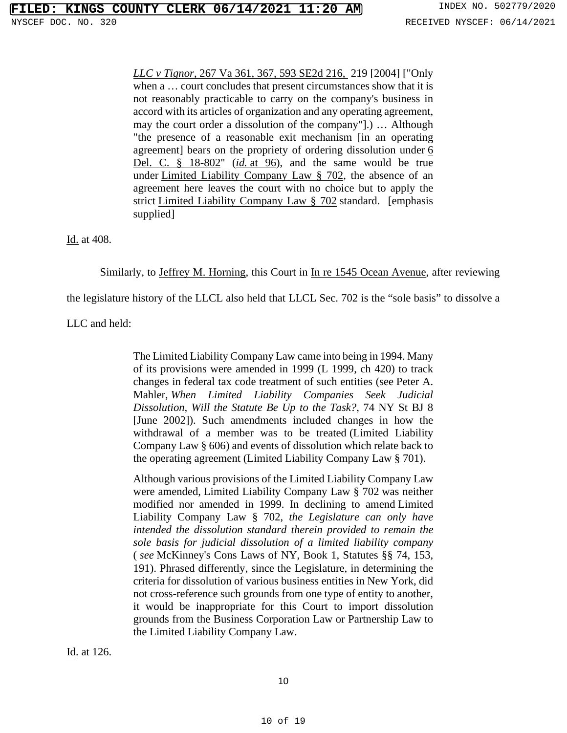*LLC v Tignor*[, 267 Va 361, 367, 593 SE2d 216,](https://advance.lexis.com/search/?pdmfid=1000516&crid=4541c4f5-5b15-4fcc-a293-a45163f84167&pdsearchterms=816+N.Y.S.2d+877&pdstartin=hlct%3A1%3A1&pdtypeofsearch=searchboxclick&pdsearchtype=SearchBox&pdqttype=and&pdpsf=&pdquerytemplateid=urn%3Aquerytemplate%3Aaa733d428fa8b529d02c0f8b2d0709aa%7E%5ENew%2520York&ecomp=5b74k&earg=pdpsf&prid=5cd99625-eecd-443d-8d1a-804ce28344a2) 219 [2004] ["Only when a … court concludes that present circumstances show that it is not reasonably practicable to carry on the company's business in accord with its articles of organization and any operating agreement, may the court order a dissolution of the company"].) … Although "the presence of a reasonable exit mechanism [in an operating agreement] bears on the propriety of ordering dissolution under [6](https://advance.lexis.com/search/?pdmfid=1000516&crid=4541c4f5-5b15-4fcc-a293-a45163f84167&pdsearchterms=816+N.Y.S.2d+877&pdstartin=hlct%3A1%3A1&pdtypeofsearch=searchboxclick&pdsearchtype=SearchBox&pdqttype=and&pdpsf=&pdquerytemplateid=urn%3Aquerytemplate%3Aaa733d428fa8b529d02c0f8b2d0709aa%7E%5ENew%2520York&ecomp=5b74k&earg=pdpsf&prid=5cd99625-eecd-443d-8d1a-804ce28344a2)  [Del. C. § 18-802"](https://advance.lexis.com/search/?pdmfid=1000516&crid=4541c4f5-5b15-4fcc-a293-a45163f84167&pdsearchterms=816+N.Y.S.2d+877&pdstartin=hlct%3A1%3A1&pdtypeofsearch=searchboxclick&pdsearchtype=SearchBox&pdqttype=and&pdpsf=&pdquerytemplateid=urn%3Aquerytemplate%3Aaa733d428fa8b529d02c0f8b2d0709aa%7E%5ENew%2520York&ecomp=5b74k&earg=pdpsf&prid=5cd99625-eecd-443d-8d1a-804ce28344a2) (*id.* [at 96\)](https://advance.lexis.com/search/?pdmfid=1000516&crid=4541c4f5-5b15-4fcc-a293-a45163f84167&pdsearchterms=816+N.Y.S.2d+877&pdstartin=hlct%3A1%3A1&pdtypeofsearch=searchboxclick&pdsearchtype=SearchBox&pdqttype=and&pdpsf=&pdquerytemplateid=urn%3Aquerytemplate%3Aaa733d428fa8b529d02c0f8b2d0709aa%7E%5ENew%2520York&ecomp=5b74k&earg=pdpsf&prid=5cd99625-eecd-443d-8d1a-804ce28344a2), and the same would be true under [Limited Liability Company Law § 702,](https://advance.lexis.com/search/?pdmfid=1000516&crid=4541c4f5-5b15-4fcc-a293-a45163f84167&pdsearchterms=816+N.Y.S.2d+877&pdstartin=hlct%3A1%3A1&pdtypeofsearch=searchboxclick&pdsearchtype=SearchBox&pdqttype=and&pdpsf=&pdquerytemplateid=urn%3Aquerytemplate%3Aaa733d428fa8b529d02c0f8b2d0709aa%7E%5ENew%2520York&ecomp=5b74k&earg=pdpsf&prid=5cd99625-eecd-443d-8d1a-804ce28344a2) the absence of an agreement here leaves the court with no choice but to apply the strict [Limited Liability Company Law § 702](https://advance.lexis.com/search/?pdmfid=1000516&crid=4541c4f5-5b15-4fcc-a293-a45163f84167&pdsearchterms=816+N.Y.S.2d+877&pdstartin=hlct%3A1%3A1&pdtypeofsearch=searchboxclick&pdsearchtype=SearchBox&pdqttype=and&pdpsf=&pdquerytemplateid=urn%3Aquerytemplate%3Aaa733d428fa8b529d02c0f8b2d0709aa%7E%5ENew%2520York&ecomp=5b74k&earg=pdpsf&prid=5cd99625-eecd-443d-8d1a-804ce28344a2) standard. [emphasis supplied]

Id. at 408.

Similarly, to Jeffrey M. Horning, this Court in In re 1545 Ocean Avenue, after reviewing

the legislature history of the LLCL also held that LLCL Sec. 702 is the "sole basis" to dissolve a

LLC and held:

The Limited Liability Company Law came into being in 1994. Many of its provisions were amended in 1999 (L 1999, ch 420) to track changes in federal tax code treatment of such entities (see Peter A. Mahler, *When Limited Liability Companies Seek Judicial Dissolution, Will the Statute Be Up to the Task?*, 74 NY St BJ 8 [June 2002]). Such amendments included changes in how the withdrawal of a member was to be treated [\(Limited Liability](https://casetext.com/statute/consolidated-laws-of-new-york/chapter-limited-liability-company-law/article-6-members-and-membership/section-606-withdrawal-of-a-member)  [Company Law § 606\)](https://casetext.com/statute/consolidated-laws-of-new-york/chapter-limited-liability-company-law/article-6-members-and-membership/section-606-withdrawal-of-a-member) and events of dissolution which relate back to the operating agreement [\(Limited Liability Company Law § 701\)](https://casetext.com/statute/consolidated-laws-of-new-york/chapter-limited-liability-company-law/article-7-dissolution/section-701-dissolution).

Although various provisions of the Limited Liability Company Law were amended, [Limited Liability Company Law § 702](https://casetext.com/statute/consolidated-laws-of-new-york/chapter-limited-liability-company-law/article-7-dissolution/section-702-judicial-dissolution) was neither modified nor amended in 1999. In declining to amend [Limited](https://casetext.com/statute/consolidated-laws-of-new-york/chapter-limited-liability-company-law/article-7-dissolution/section-702-judicial-dissolution)  [Liability Company Law § 702,](https://casetext.com/statute/consolidated-laws-of-new-york/chapter-limited-liability-company-law/article-7-dissolution/section-702-judicial-dissolution) *the Legislature can only have intended the dissolution standard therein provided to remain the sole basis for judicial dissolution of a limited liability company*  ( *see* McKinney's Cons Laws of NY, Book 1, Statutes §§ 74, 153, 191). Phrased differently, since the Legislature, in determining the criteria for dissolution of various business entities in New York, did not cross-reference such grounds from one type of entity to another, it would be inappropriate for this Court to import dissolution grounds from the Business Corporation Law or Partnership Law to the Limited Liability Company Law.

Id. at 126.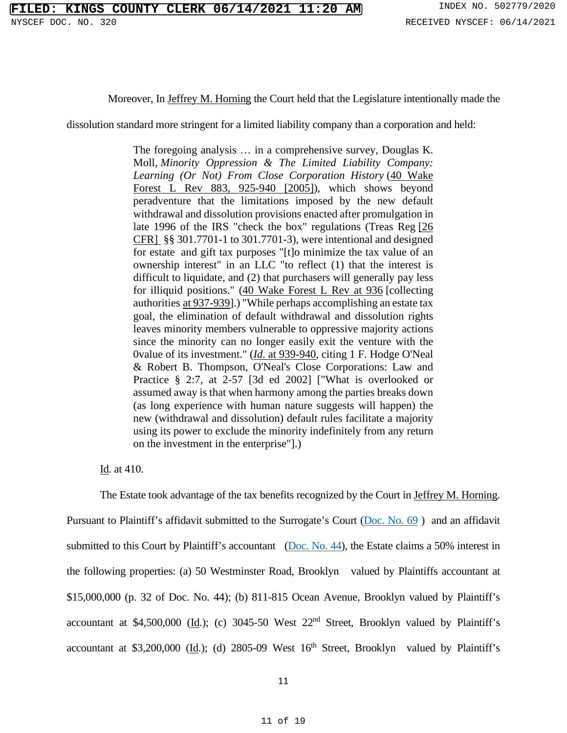Moreover, In Jeffrey M. Horning the Court held that the Legislature intentionally made the

dissolution standard more stringent for a limited liability company than a corporation and held:

The foregoing analysis … in a comprehensive survey, Douglas K. Moll, *Minority Oppression & The Limited Liability Company: Learning (Or Not) From Close Corporation History* [\(40 Wake](https://advance.lexis.com/search/?pdmfid=1000516&crid=4541c4f5-5b15-4fcc-a293-a45163f84167&pdsearchterms=816+N.Y.S.2d+877&pdstartin=hlct%3A1%3A1&pdtypeofsearch=searchboxclick&pdsearchtype=SearchBox&pdqttype=and&pdpsf=&pdquerytemplateid=urn%3Aquerytemplate%3Aaa733d428fa8b529d02c0f8b2d0709aa%7E%5ENew%2520York&ecomp=5b74k&earg=pdpsf&prid=5cd99625-eecd-443d-8d1a-804ce28344a2)  [Forest L Rev 883, 925-940 \[2005\]\)](https://advance.lexis.com/search/?pdmfid=1000516&crid=4541c4f5-5b15-4fcc-a293-a45163f84167&pdsearchterms=816+N.Y.S.2d+877&pdstartin=hlct%3A1%3A1&pdtypeofsearch=searchboxclick&pdsearchtype=SearchBox&pdqttype=and&pdpsf=&pdquerytemplateid=urn%3Aquerytemplate%3Aaa733d428fa8b529d02c0f8b2d0709aa%7E%5ENew%2520York&ecomp=5b74k&earg=pdpsf&prid=5cd99625-eecd-443d-8d1a-804ce28344a2), which shows beyond peradventure that the limitations imposed by the new default withdrawal and dissolution provisions enacted after promulgation in late 1996 of the IRS "check the box" regulations (Treas Reg [\[26](https://advance.lexis.com/search/?pdmfid=1000516&crid=4541c4f5-5b15-4fcc-a293-a45163f84167&pdsearchterms=816+N.Y.S.2d+877&pdstartin=hlct%3A1%3A1&pdtypeofsearch=searchboxclick&pdsearchtype=SearchBox&pdqttype=and&pdpsf=&pdquerytemplateid=urn%3Aquerytemplate%3Aaa733d428fa8b529d02c0f8b2d0709aa%7E%5ENew%2520York&ecomp=5b74k&earg=pdpsf&prid=5cd99625-eecd-443d-8d1a-804ce28344a2)  [CFR\]](https://advance.lexis.com/search/?pdmfid=1000516&crid=4541c4f5-5b15-4fcc-a293-a45163f84167&pdsearchterms=816+N.Y.S.2d+877&pdstartin=hlct%3A1%3A1&pdtypeofsearch=searchboxclick&pdsearchtype=SearchBox&pdqttype=and&pdpsf=&pdquerytemplateid=urn%3Aquerytemplate%3Aaa733d428fa8b529d02c0f8b2d0709aa%7E%5ENew%2520York&ecomp=5b74k&earg=pdpsf&prid=5cd99625-eecd-443d-8d1a-804ce28344a2) §§ 301.7701-1 to 301.7701-3), were intentional and designed for estate and gift tax purposes "[t]o minimize the tax value of an ownership interest" in an LLC "to reflect (1) that the interest is difficult to liquidate, and (2) that purchasers will generally pay less for illiquid positions." [\(40 Wake Forest L Rev at 936](https://advance.lexis.com/search/?pdmfid=1000516&crid=4541c4f5-5b15-4fcc-a293-a45163f84167&pdsearchterms=816+N.Y.S.2d+877&pdstartin=hlct%3A1%3A1&pdtypeofsearch=searchboxclick&pdsearchtype=SearchBox&pdqttype=and&pdpsf=&pdquerytemplateid=urn%3Aquerytemplate%3Aaa733d428fa8b529d02c0f8b2d0709aa%7E%5ENew%2520York&ecomp=5b74k&earg=pdpsf&prid=5cd99625-eecd-443d-8d1a-804ce28344a2) [collecting authorities [at 937-939\]](https://advance.lexis.com/search/?pdmfid=1000516&crid=4541c4f5-5b15-4fcc-a293-a45163f84167&pdsearchterms=816+N.Y.S.2d+877&pdstartin=hlct%3A1%3A1&pdtypeofsearch=searchboxclick&pdsearchtype=SearchBox&pdqttype=and&pdpsf=&pdquerytemplateid=urn%3Aquerytemplate%3Aaa733d428fa8b529d02c0f8b2d0709aa%7E%5ENew%2520York&ecomp=5b74k&earg=pdpsf&prid=5cd99625-eecd-443d-8d1a-804ce28344a2).) "While perhaps accomplishing an estate tax goal, the elimination of default withdrawal and dissolution rights leaves minority members vulnerable to oppressive majority actions since the minority can no longer easily exit the venture with the 0value of its investment." (*Id.* [at 939-940,](https://advance.lexis.com/search/?pdmfid=1000516&crid=4541c4f5-5b15-4fcc-a293-a45163f84167&pdsearchterms=816+N.Y.S.2d+877&pdstartin=hlct%3A1%3A1&pdtypeofsearch=searchboxclick&pdsearchtype=SearchBox&pdqttype=and&pdpsf=&pdquerytemplateid=urn%3Aquerytemplate%3Aaa733d428fa8b529d02c0f8b2d0709aa%7E%5ENew%2520York&ecomp=5b74k&earg=pdpsf&prid=5cd99625-eecd-443d-8d1a-804ce28344a2) citing 1 F. Hodge O'Neal & Robert B. Thompson, O'Neal's Close Corporations: Law and Practice § 2:7, at 2-57 [3d ed 2002] ["What is overlooked or assumed away is that when harmony among the parties breaks down (as long experience with human nature suggests will happen) the new (withdrawal and dissolution) default rules facilitate a majority using its power to exclude the minority indefinitely from any return on the investment in the enterprise"].)

Id. at 410.

The Estate took advantage of the tax benefits recognized by the Court in Jeffrey M. Horning. Pursuant to Plaintiff's affidavit submitted to the Surrogate's Court [\(Doc. No. 69](https://iapps.courts.state.ny.us/nyscef/ViewDocument?docIndex=D2Hr7g2wCdnx4zPhoOe9Lg==) ) and an affidavit submitted to this Court by Plaintiff's accountant [\(Doc. No. 44\)](https://iapps.courts.state.ny.us/nyscef/ViewDocument?docIndex=GbzctMGraPNbRwmMKesI8Q=), the Estate claims a 50% interest in the following properties: (a) 50 Westminster Road, Brooklyn valued by Plaintiffs accountant at \$15,000,000 (p. 32 of Doc. No. 44); (b) 811-815 Ocean Avenue, Brooklyn valued by Plaintiff's accountant at \$4,500,000 (Id.); (c)  $3045-50$  West  $22<sup>nd</sup>$  Street, Brooklyn valued by Plaintiff's accountant at \$3,200,000 (Id.); (d)  $2805-09$  West  $16<sup>th</sup>$  Street, Brooklyn valued by Plaintiff's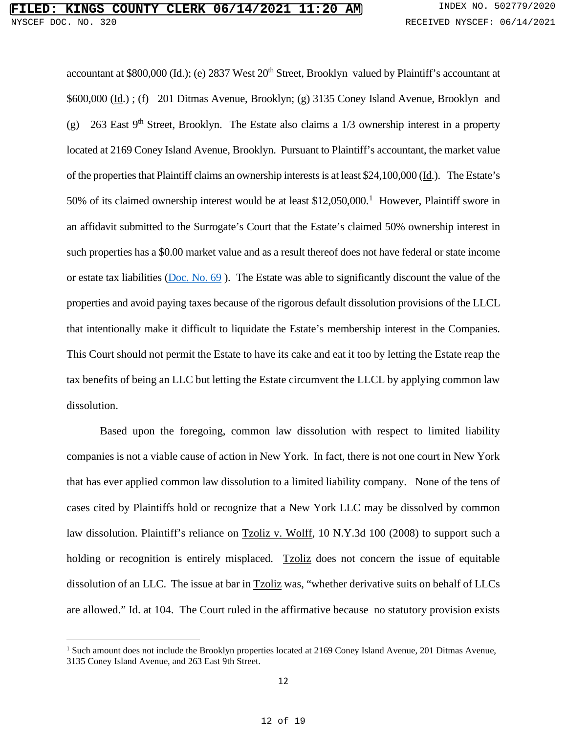accountant at \$800,000 (Id.); (e) 2837 West 20<sup>th</sup> Street, Brooklyn valued by Plaintiff's accountant at \$600,000 (Id.) ; (f) 201 Ditmas Avenue, Brooklyn; (g) 3135 Coney Island Avenue, Brooklyn and (g) 263 East 9<sup>th</sup> Street, Brooklyn. The Estate also claims a  $1/3$  ownership interest in a property located at 2169 Coney Island Avenue, Brooklyn. Pursuant to Plaintiff's accountant, the market value of the properties that Plaintiff claims an ownership interests is at least \$24,100,000 (Id.). The Estate's 50% of its claimed ownership interest would be at least \$[1](#page-11-0)2,050,000.<sup>1</sup> However, Plaintiff swore in an affidavit submitted to the Surrogate's Court that the Estate's claimed 50% ownership interest in such properties has a \$0.00 market value and as a result thereof does not have federal or state income or estate tax liabilities [\(Doc. No. 69](https://iapps.courts.state.ny.us/nyscef/ViewDocument?docIndex=D2Hr7g2wCdnx4zPhoOe9Lg==) ). The Estate was able to significantly discount the value of the properties and avoid paying taxes because of the rigorous default dissolution provisions of the LLCL that intentionally make it difficult to liquidate the Estate's membership interest in the Companies. This Court should not permit the Estate to have its cake and eat it too by letting the Estate reap the tax benefits of being an LLC but letting the Estate circumvent the LLCL by applying common law dissolution.

Based upon the foregoing, common law dissolution with respect to limited liability companies is not a viable cause of action in New York. In fact, there is not one court in New York that has ever applied common law dissolution to a limited liability company. None of the tens of cases cited by Plaintiffs hold or recognize that a New York LLC may be dissolved by common law dissolution. Plaintiff's reliance on **Tzoliz v. Wolff**, 10 N.Y.3d 100 (2008) to support such a holding or recognition is entirely misplaced. Tzoliz does not concern the issue of equitable dissolution of an LLC. The issue at bar in **Tzoliz** was, "whether derivative suits on behalf of LLCs are allowed." Id. at 104. The Court ruled in the affirmative because no statutory provision exists

<span id="page-11-0"></span><sup>&</sup>lt;sup>1</sup> Such amount does not include the Brooklyn properties located at 2169 Coney Island Avenue, 201 Ditmas Avenue, 3135 Coney Island Avenue, and 263 East 9th Street.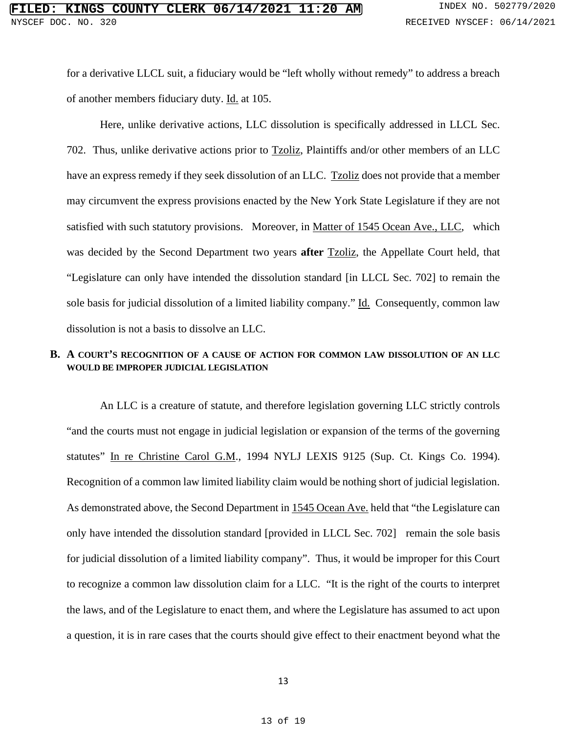for a derivative LLCL suit, a fiduciary would be "left wholly without remedy" to address a breach of another members fiduciary duty. Id. at 105.

Here, unlike derivative actions, LLC dissolution is specifically addressed in LLCL Sec. 702. Thus, unlike derivative actions prior to Tzoliz, Plaintiffs and/or other members of an LLC have an express remedy if they seek dissolution of an LLC. Tzoliz does not provide that a member may circumvent the express provisions enacted by the New York State Legislature if they are not satisfied with such statutory provisions. Moreover, in Matter of 1545 Ocean Ave., LLC, which was decided by the Second Department two years **after** Tzoliz, the Appellate Court held, that "Legislature can only have intended the dissolution standard [in LLCL Sec. 702] to remain the sole basis for judicial dissolution of a limited liability company." Id. Consequently, common law dissolution is not a basis to dissolve an LLC.

## **B. A COURT'S RECOGNITION OF A CAUSE OF ACTION FOR COMMON LAW DISSOLUTION OF AN LLC WOULD BE IMPROPER JUDICIAL LEGISLATION**

An LLC is a creature of statute, and therefore legislation governing LLC strictly controls "and the courts must not engage in judicial legislation or expansion of the terms of the governing statutes" In re Christine Carol G.M., 1994 NYLJ LEXIS 9125 (Sup. Ct. Kings Co. 1994). Recognition of a common law limited liability claim would be nothing short of judicial legislation. As demonstrated above, the Second Department in 1545 Ocean Ave. held that "the Legislature can only have intended the dissolution standard [provided in LLCL Sec. 702] remain the sole basis for judicial dissolution of a limited liability company". Thus, it would be improper for this Court to recognize a common law dissolution claim for a LLC. "It is the right of the courts to interpret the laws, and of the Legislature to enact them, and where the Legislature has assumed to act upon a question, it is in rare cases that the courts should give effect to their enactment beyond what the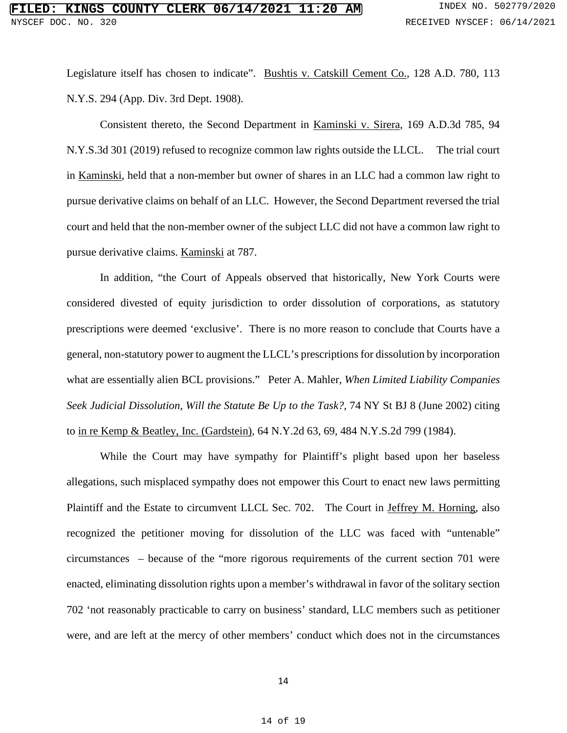Legislature itself has chosen to indicate". Bushtis v. Catskill Cement Co., 128 A.D. 780, 113 N.Y.S. 294 (App. Div. 3rd Dept. 1908).

Consistent thereto, the Second Department in Kaminski v. Sirera, 169 A.D.3d 785, 94 N.Y.S.3d 301 (2019) refused to recognize common law rights outside the LLCL. The trial court in Kaminski, held that a non-member but owner of shares in an LLC had a common law right to pursue derivative claims on behalf of an LLC. However, the Second Department reversed the trial court and held that the non-member owner of the subject LLC did not have a common law right to pursue derivative claims. Kaminski at 787.

In addition, "the Court of Appeals observed that historically, New York Courts were considered divested of equity jurisdiction to order dissolution of corporations, as statutory prescriptions were deemed 'exclusive'. There is no more reason to conclude that Courts have a general, non-statutory power to augment the LLCL's prescriptions for dissolution by incorporation what are essentially alien BCL provisions." Peter A. Mahler, *When Limited Liability Companies Seek Judicial Dissolution, Will the Statute Be Up to the Task?,* 74 NY St BJ 8 (June 2002) citing to in re Kemp & Beatley, Inc. (Gardstein), 64 N.Y.2d 63, 69, 484 N.Y.S.2d 799 (1984).

While the Court may have sympathy for Plaintiff's plight based upon her baseless allegations, such misplaced sympathy does not empower this Court to enact new laws permitting Plaintiff and the Estate to circumvent LLCL Sec. 702. The Court in Jeffrey M. Horning, also recognized the petitioner moving for dissolution of the LLC was faced with "untenable" circumstances – because of the "more rigorous requirements of the current section 701 were enacted, eliminating dissolution rights upon a member's withdrawal in favor of the solitary section 702 'not reasonably practicable to carry on business' standard, LLC members such as petitioner were, and are left at the mercy of other members' conduct which does not in the circumstances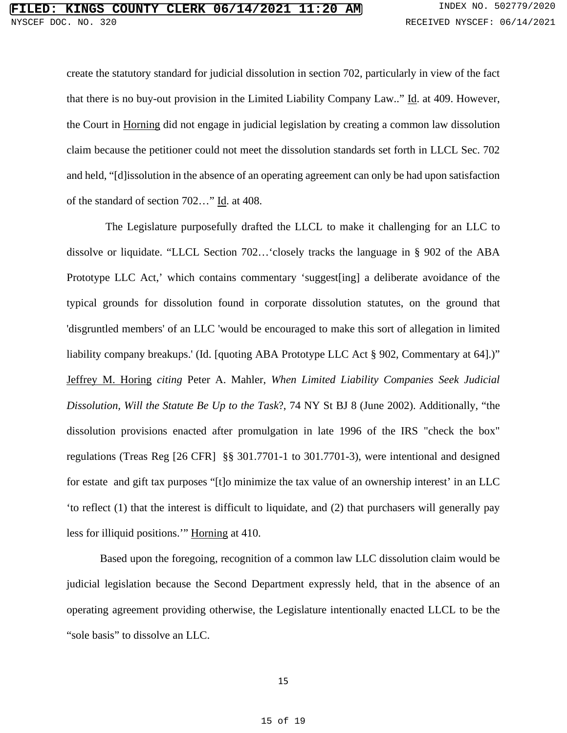create the statutory standard for judicial dissolution in section 702, particularly in view of the fact that there is no buy-out provision in the Limited Liability Company Law.." Id. at 409. However, the Court in Horning did not engage in judicial legislation by creating a common law dissolution claim because the petitioner could not meet the dissolution standards set forth in LLCL Sec. 702 and held, "[d]issolution in the absence of an operating agreement can only be had upon satisfaction of the standard of section 702…" Id. at 408.

The Legislature purposefully drafted the LLCL to make it challenging for an LLC to dissolve or liquidate. "LLCL Section 702…'closely tracks the language in § 902 of the ABA Prototype LLC Act,' which contains commentary 'suggest [ing] a deliberate avoidance of the typical grounds for dissolution found in corporate dissolution statutes, on the ground that 'disgruntled members' of an LLC 'would be encouraged to make this sort of allegation in limited liability company breakups.' (Id. [quoting ABA Prototype LLC Act § 902, Commentary at 64].)" Jeffrey M. Horing *citing* Peter A. Mahler, *When Limited Liability Companies Seek Judicial Dissolution, Will the Statute Be Up to the Task*?, 74 NY St BJ 8 (June 2002). Additionally, "the dissolution provisions enacted after promulgation in late 1996 of the IRS "check the box" regulations (Treas Reg [26 CFR] §§ 301.7701-1 to 301.7701-3), were intentional and designed for estate and gift tax purposes "[t]o minimize the tax value of an ownership interest' in an LLC 'to reflect (1) that the interest is difficult to liquidate, and (2) that purchasers will generally pay less for illiquid positions.'" Horning at 410.

Based upon the foregoing, recognition of a common law LLC dissolution claim would be judicial legislation because the Second Department expressly held, that in the absence of an operating agreement providing otherwise, the Legislature intentionally enacted LLCL to be the "sole basis" to dissolve an LLC.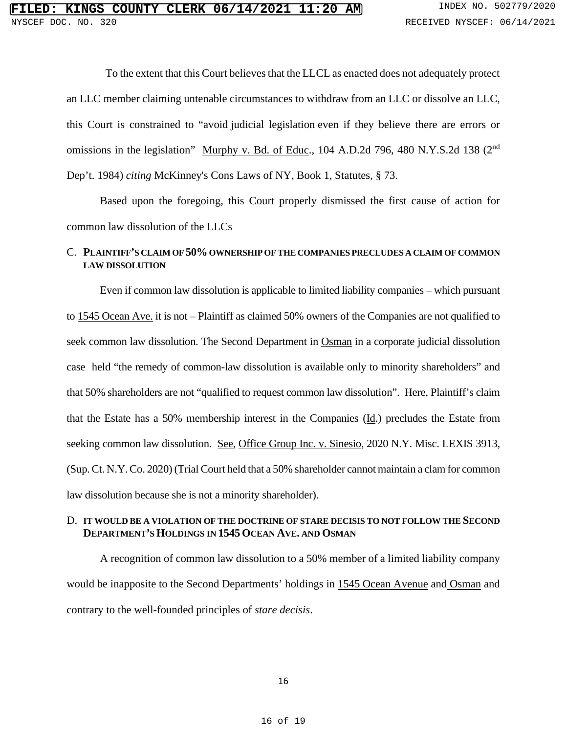To the extent that this Court believes that the LLCL as enacted does not adequately protect an LLC member claiming untenable circumstances to withdraw from an LLC or dissolve an LLC, this Court is constrained to "avoid judicial legislation even if they believe there are errors or omissions in the legislation" Murphy v. Bd. of Educ., 104 A.D.2d 796, 480 N.Y.S.2d 138 (2<sup>nd</sup>) Dep't. 1984) *citing* McKinney's Cons Laws of NY, Book 1, Statutes, § 73.

Based upon the foregoing, this Court properly dismissed the first cause of action for common law dissolution of the LLCs

## C. PLAINTIFF'S CLAIM OF 50% OWNERSHIP OF THE COMPANIES PRECLUDES A CLAIM OF COMMON **LAW DISSOLUTION**

Even if common law dissolution is applicable to limited liability companies – which pursuant to 1545 Ocean Ave. it is not – Plaintiff as claimed 50% owners of the Companies are not qualified to seek common law dissolution. The Second Department in Osman in a corporate judicial dissolution case held "the remedy of common-law dissolution is available only to minority shareholders" and that 50% shareholders are not "qualified to request common law dissolution". Here, Plaintiff's claim that the Estate has a 50% membership interest in the Companies (Id.) precludes the Estate from seeking common law dissolution. See, Office Group Inc. v. Sinesio, 2020 N.Y. Misc. LEXIS 3913, (Sup. Ct. N.Y. Co. 2020) (Trial Court held that a 50% shareholder cannot maintain a clam for common law dissolution because she is not a minority shareholder).

#### D. **IT WOULD BE A VIOLATION OF THE DOCTRINE OF STARE DECISIS TO NOT FOLLOW THE SECOND DEPARTMENT'S HOLDINGS IN 1545 OCEAN AVE. AND OSMAN**

A recognition of common law dissolution to a 50% member of a limited liability company would be inapposite to the Second Departments' holdings in 1545 Ocean Avenue and Osman and contrary to the well-founded principles of *stare decisis*.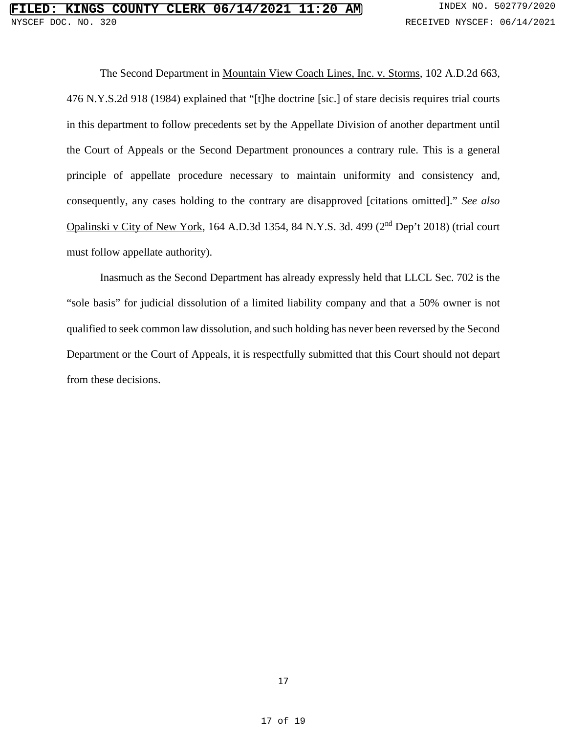The Second Department in Mountain View Coach Lines, Inc. v. Storms, 102 A.D.2d 663, 476 N.Y.S.2d 918 (1984) explained that "[t]he doctrine [sic.] of stare decisis requires trial courts in this department to follow precedents set by the Appellate Division of another department until the Court of Appeals or the Second Department pronounces a contrary rule. This is a general principle of appellate procedure necessary to maintain uniformity and consistency and, consequently, any cases holding to the contrary are disapproved [citations omitted]." *See also* Opalinski v City of New York, 164 A.D.3d 1354, 84 N.Y.S. 3d. 499 (2nd Dep't 2018) (trial court must follow appellate authority).

Inasmuch as the Second Department has already expressly held that LLCL Sec. 702 is the "sole basis" for judicial dissolution of a limited liability company and that a 50% owner is not qualified to seek common law dissolution, and such holding has never been reversed by the Second Department or the Court of Appeals, it is respectfully submitted that this Court should not depart from these decisions.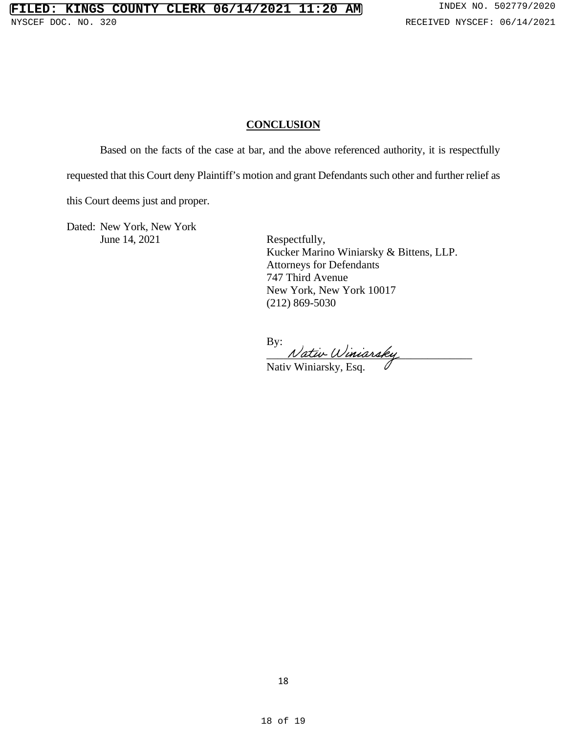# **CONCLUSION**

Based on the facts of the case at bar, and the above referenced authority, it is respectfully

requested that this Court deny Plaintiff's motion and grant Defendants such other and further relief as

this Court deems just and proper.

Dated: New York, New York June 14, 2021 Respectfully,

 Kucker Marino Winiarsky & Bittens, LLP. Attorneys for Defendants 747 Third Avenue New York, New York 10017 (212) 869-5030

By:

Nativ Winiarsky

Nativ Winiarsky, Esq.